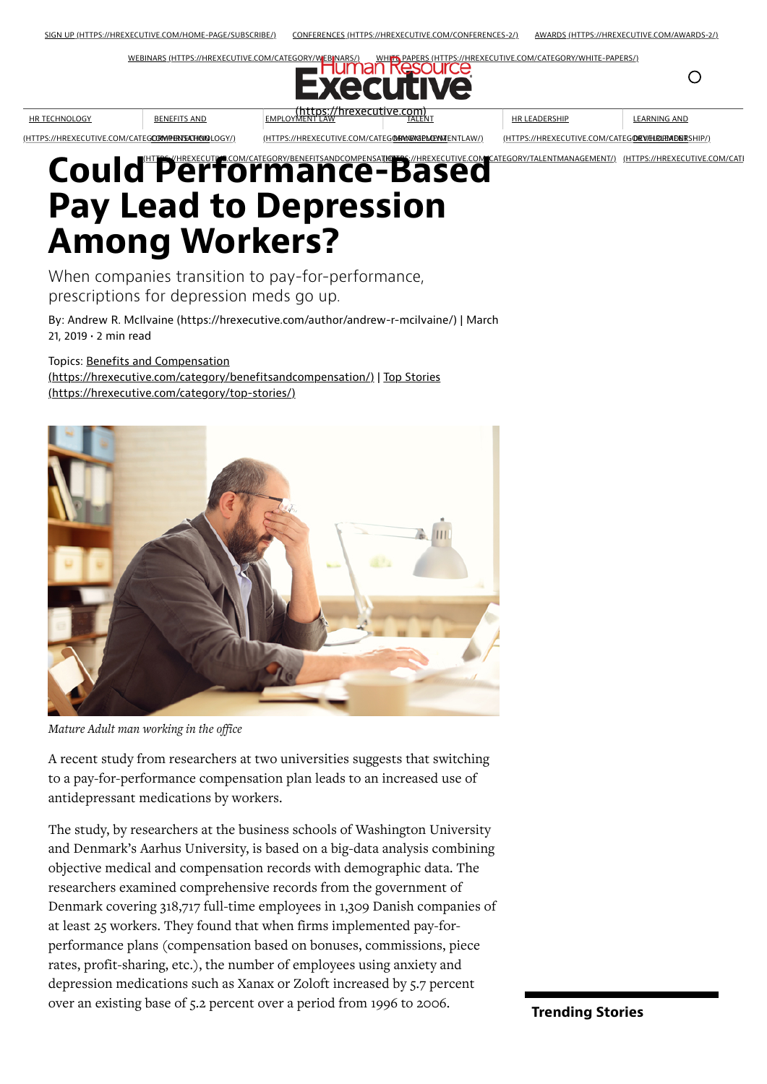[WEBINARS \(HTTPS://HREXECUTIVE.COM/CATEGORY/WEBINARS/\)](https://hrexecutive.com/category/webinars/) [WHITE PAPERS \(HTTPS://HREXECUTIVE.COM/CATEGORY/WHITE-PAPERS/\)](https://hrexecutive.com/category/white-papers/)



TALENT

HR LEADERSHIP

LEARNING AND

 $\bigcirc$ 

<u>(HTTPS://HREXECUTIVE.COM/CATEG**ORWPENSATHOIO**LOGY/)</u>

HR TECHNOLOGY

BENEFITS AND

<u>(HTTPS://HREXECUTIVE.COM/CATEG**@RANRIGELAEYMI**ENTLAW/)</u>

<u>(HTTPS://HREXECUTIVE.COM/CATEG**O/RV/HLKUHMD/NR**SHIP/)</u>

## Could<sup>"</sup>Performance-Based Pay Lead to Depression Among Workers? I<del>IUTES</del>S://HREXECUTIVE.COM CATEGORY/TALENTMANAGEMENT/) (HTTPS://HREXECUTIVE.COM/CATI

**EMPLOY** 

When companies transition to pay-for-performance, prescriptions for depression meds go up.

By: [Andrew R. McIlvaine \(https://hrexecutive.com/author/andrew-r-mcilvaine/\)](https://hrexecutive.com/author/andrew-r-mcilvaine/) | March 21, 2019 • 2 min read

Topics: Benefits and Compensation

[\(https://hrexecutive.com/category/benefitsandcompensation/](https://hrexecutive.com/category/benefitsandcompensation/)[\) | Top Stories](https://hrexecutive.com/category/top-stories/) (https://hrexecutive.com/category/top-stories/)



*Mature Adult man working in the office*

A recent study from researchers at two universities suggests that switching to a pay-for-performance compensation plan leads to an increased use of antidepressant medications by workers.

The study, by researchers at the business schools of Washington University and Denmark's Aarhus University, is based on a big-data analysis combining objective medical and compensation records with demographic data. The researchers examined comprehensive records from the government of Denmark covering 318,717 full-time employees in 1,309 Danish companies of at least 25 workers. They found that when firms implemented pay-forperformance plans (compensation based on bonuses, commissions, piece rates, profit-sharing, etc.), the number of employees using anxiety and depression medications such as Xanax or Zoloft increased by 5.7 percent over an existing base of 5.2 percent over a period from 1996 to 2006. Trending Stories